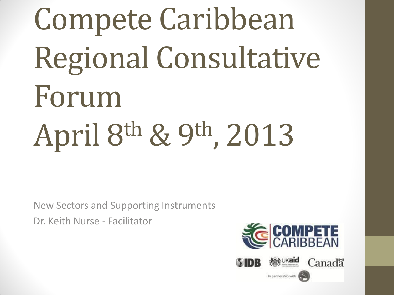Compete Caribbean Regional Consultative Forum April 8th & 9th, 2013

New Sectors and Supporting Instruments Dr. Keith Nurse - Facilitator

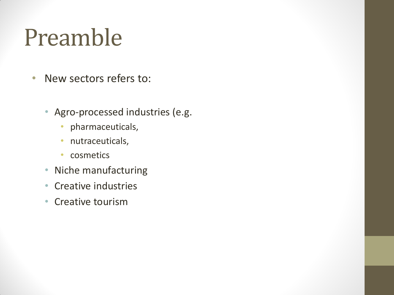### Preamble

- New sectors refers to:
	- Agro-processed industries (e.g.
		- pharmaceuticals,
		- nutraceuticals,
		- cosmetics
	- Niche manufacturing
	- Creative industries
	- Creative tourism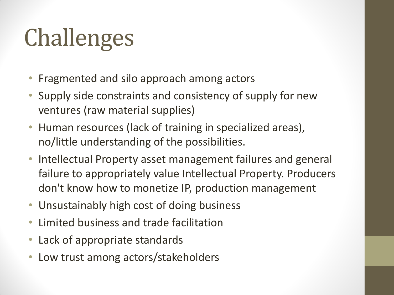# Challenges

- Fragmented and silo approach among actors
- Supply side constraints and consistency of supply for new ventures (raw material supplies)
- Human resources (lack of training in specialized areas), no/little understanding of the possibilities.
- Intellectual Property asset management failures and general failure to appropriately value Intellectual Property. Producers don't know how to monetize IP, production management
- Unsustainably high cost of doing business
- Limited business and trade facilitation
- Lack of appropriate standards
- Low trust among actors/stakeholders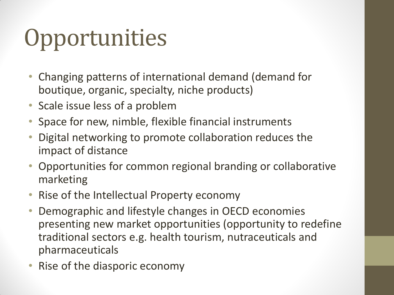# **Opportunities**

- Changing patterns of international demand (demand for boutique, organic, specialty, niche products)
- Scale issue less of a problem
- Space for new, nimble, flexible financial instruments
- Digital networking to promote collaboration reduces the impact of distance
- Opportunities for common regional branding or collaborative marketing
- Rise of the Intellectual Property economy
- Demographic and lifestyle changes in OECD economies presenting new market opportunities (opportunity to redefine traditional sectors e.g. health tourism, nutraceuticals and pharmaceuticals
- Rise of the diasporic economy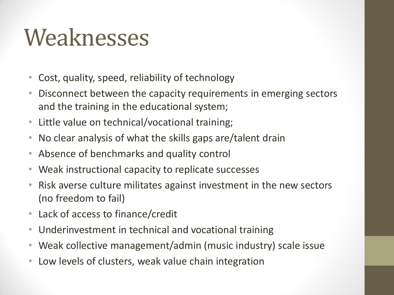#### Weaknesses

- Cost, quality, speed, reliability of technology
- Disconnect between the capacity requirements in emerging sectors and the training in the educational system;
- Little value on technical/vocational training;
- No clear analysis of what the skills gaps are/talent drain
- Absence of benchmarks and quality control
- Weak instructional capacity to replicate successes
- Risk averse culture militates against investment in the new sectors (no freedom to fail)
- Lack of access to finance/credit
- Underinvestment in technical and vocational training
- Weak collective management/admin (music industry) scale issue
- Low levels of clusters, weak value chain integration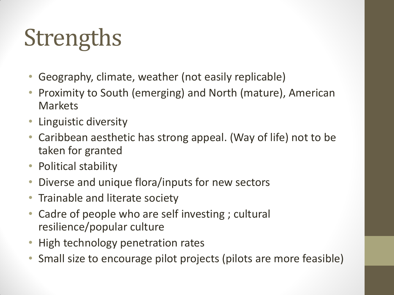# **Strengths**

- Geography, climate, weather (not easily replicable)
- Proximity to South (emerging) and North (mature), American Markets
- Linguistic diversity
- Caribbean aesthetic has strong appeal. (Way of life) not to be taken for granted
- Political stability
- Diverse and unique flora/inputs for new sectors
- Trainable and literate society
- Cadre of people who are self investing ; cultural resilience/popular culture
- High technology penetration rates
- Small size to encourage pilot projects (pilots are more feasible)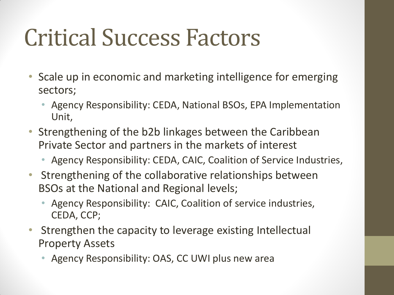#### Critical Success Factors

- Scale up in economic and marketing intelligence for emerging sectors;
	- Agency Responsibility: CEDA, National BSOs, EPA Implementation Unit,
- Strengthening of the b2b linkages between the Caribbean Private Sector and partners in the markets of interest
	- Agency Responsibility: CEDA, CAIC, Coalition of Service Industries,
- Strengthening of the collaborative relationships between BSOs at the National and Regional levels;
	- Agency Responsibility: CAIC, Coalition of service industries, CEDA, CCP;
- Strengthen the capacity to leverage existing Intellectual Property Assets
	- Agency Responsibility: OAS, CC UWI plus new area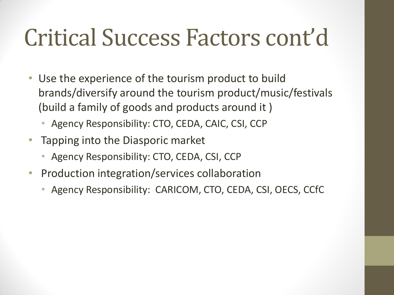#### Critical Success Factors cont'd

- Use the experience of the tourism product to build brands/diversify around the tourism product/music/festivals (build a family of goods and products around it )
	- Agency Responsibility: CTO, CEDA, CAIC, CSI, CCP
- Tapping into the Diasporic market
	- Agency Responsibility: CTO, CEDA, CSI, CCP
- Production integration/services collaboration
	- Agency Responsibility: CARICOM, CTO, CEDA, CSI, OECS, CCfC